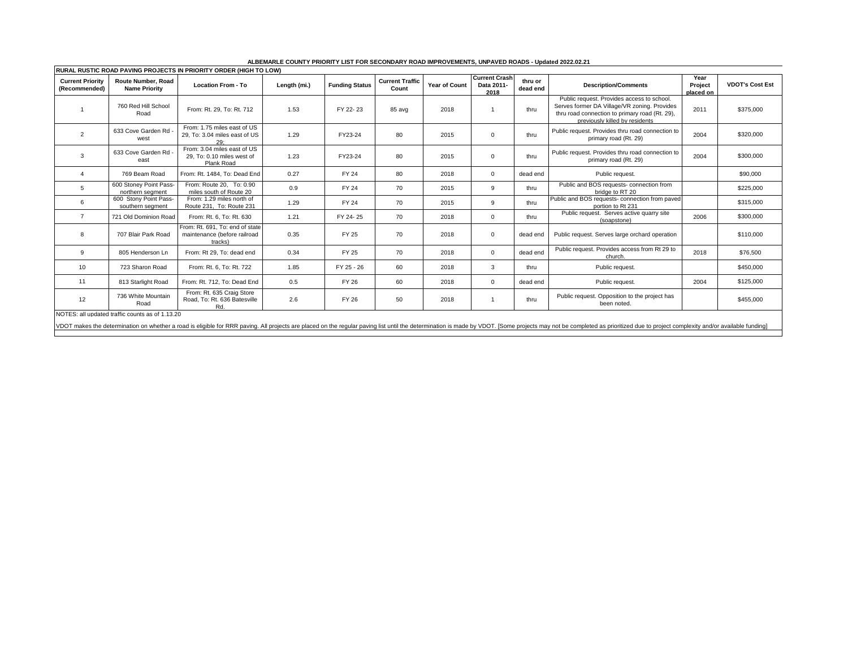| IRURAL RUSTIC ROAD PAVING PROJECTS IN PRIORITY ORDER (HIGH TO LOW)                                                                                                                                                            |                                            |                                                                            |              |                       |                                 |                      |                                            |                     |                                                                                                                                                                                |                              |                        |
|-------------------------------------------------------------------------------------------------------------------------------------------------------------------------------------------------------------------------------|--------------------------------------------|----------------------------------------------------------------------------|--------------|-----------------------|---------------------------------|----------------------|--------------------------------------------|---------------------|--------------------------------------------------------------------------------------------------------------------------------------------------------------------------------|------------------------------|------------------------|
| <b>Current Priority</b><br>(Recommended)                                                                                                                                                                                      | Route Number, Road<br><b>Name Priority</b> | <b>Location From - To</b>                                                  | Length (mi.) | <b>Funding Status</b> | <b>Current Traffic</b><br>Count | <b>Year of Count</b> | <b>Current Crash</b><br>Data 2011-<br>2018 | thru or<br>dead end | <b>Description/Comments</b>                                                                                                                                                    | Year<br>Project<br>placed on | <b>VDOT's Cost Est</b> |
|                                                                                                                                                                                                                               | 760 Red Hill School<br>Road                | From: Rt. 29, To: Rt. 712                                                  | 1.53         | FY 22-23              | 85 avg                          | 2018                 |                                            | thru                | Public request. Provides access to school.<br>Serves former DA Village/VR zoning. Provides<br>thru road connection to primary road (Rt. 29),<br>previously killed by residents | 2011                         | \$375,000              |
| $\overline{2}$                                                                                                                                                                                                                | 633 Cove Garden Rd<br>west                 | From: 1.75 miles east of US<br>29. To: 3.04 miles east of US<br>29:        | 1.29         | FY23-24               | 80                              | 2015                 | $\Omega$                                   | thru                | Public request. Provides thru road connection to<br>primary road (Rt. 29)                                                                                                      | 2004                         | \$320,000              |
| 3                                                                                                                                                                                                                             | 633 Cove Garden Rd<br>east                 | From: 3.04 miles east of US<br>29. To: 0.10 miles west of<br>Plank Road    | 1.23         | FY23-24               | 80                              | 2015                 | $\Omega$                                   | thru                | Public request. Provides thru road connection to<br>primary road (Rt. 29)                                                                                                      | 2004                         | \$300,000              |
|                                                                                                                                                                                                                               | 769 Beam Road                              | From: Rt. 1484. To: Dead End                                               | 0.27         | <b>FY 24</b>          | 80                              | 2018                 | $\mathbf 0$                                | dead end            | Public request.                                                                                                                                                                |                              | \$90,000               |
| 5                                                                                                                                                                                                                             | 600 Stoney Point Pass-<br>northern seament | From: Route 20. To: 0.90<br>miles south of Route 20                        | 0.9          | FY 24                 | 70                              | 2015                 | 9                                          | thru                | Public and BOS requests- connection from<br>bridge to RT 20                                                                                                                    |                              | \$225,000              |
| 6                                                                                                                                                                                                                             | 600 Stony Point Pass-<br>southern segment  | From: 1.29 miles north of<br>Route 231, To: Route 231                      | 1.29         | FY 24                 | 70                              | 2015                 | 9                                          | thru                | Public and BOS requests- connection from paved<br>portion to Rt 231                                                                                                            |                              | \$315,000              |
| $\overline{7}$                                                                                                                                                                                                                | 721 Old Dominion Road                      | From: Rt. 6. To: Rt. 630                                                   | 1.21         | FY 24-25              | 70                              | 2018                 | $\mathbf 0$                                | thru                | Public request. Serves active quarry site<br>(soapstone)                                                                                                                       | 2006                         | \$300,000              |
| 8                                                                                                                                                                                                                             | 707 Blair Park Road                        | From: Rt. 691. To: end of state<br>maintenance (before railroad<br>tracks) | 0.35         | FY 25                 | 70                              | 2018                 | $\mathbf 0$                                | dead end            | Public request. Serves large orchard operation                                                                                                                                 |                              | \$110,000              |
| 9                                                                                                                                                                                                                             | 805 Henderson Ln                           | From: Rt 29. To: dead end                                                  | 0.34         | FY 25                 | 70                              | 2018                 | $\Omega$                                   | dead end            | Public request. Provides access from Rt 29 to<br>church.                                                                                                                       | 2018                         | \$76,500               |
| 10                                                                                                                                                                                                                            | 723 Sharon Road                            | From: Rt. 6, To: Rt. 722                                                   | 1.85         | FY 25 - 26            | 60                              | 2018                 | 3                                          | thru                | Public request.                                                                                                                                                                |                              | \$450,000              |
| 11                                                                                                                                                                                                                            | 813 Starlight Road                         | From: Rt. 712. To: Dead End                                                | 0.5          | <b>FY 26</b>          | 60                              | 2018                 | $\mathbf 0$                                | dead end            | Public request.                                                                                                                                                                | 2004                         | \$125,000              |
| 12                                                                                                                                                                                                                            | 736 White Mountain<br>Road                 | From: Rt. 635 Craig Store<br>Road, To: Rt. 636 Batesville<br>Rd.           | 2.6          | <b>FY 26</b>          | 50                              | 2018                 |                                            | thru                | Public request. Opposition to the project has<br>been noted.                                                                                                                   |                              | \$455,000              |
| NOTES: all updated traffic counts as of 1.13.20                                                                                                                                                                               |                                            |                                                                            |              |                       |                                 |                      |                                            |                     |                                                                                                                                                                                |                              |                        |
| VDOT makes the determination on whether a road is eligible for RRR paving. All projects are placed on the reqular paving list until the determination is made by VDOT. [Some projects may not be completed as prioritized due |                                            |                                                                            |              |                       |                                 |                      |                                            |                     |                                                                                                                                                                                |                              |                        |
|                                                                                                                                                                                                                               |                                            |                                                                            |              |                       |                                 |                      |                                            |                     |                                                                                                                                                                                |                              |                        |

## **ALBEMARLE COUNTY PRIORITY LIST FOR SECONDARY ROAD IMPROVEMENTS, UNPAVED ROADS - Updated 2022.02.21**